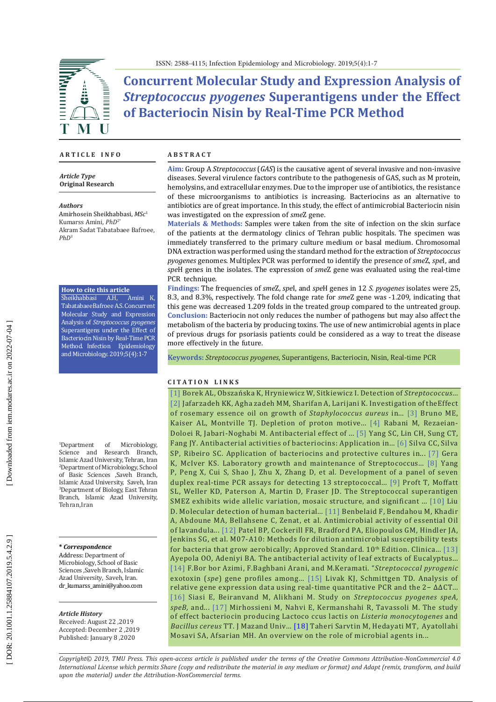

**Concurrent Molecular Study and Expression Analysis of**  *Streptococcus pyogenes* **Superantigens under the Effect of Bacteriocin Nisin by Real-Time PCR Method**

### **A R T I C L E I N F O**

*Article Type* **Original Research**

#### *Authors*

Amirhosein Sheikhabbasi, *MSc* 1 Kumarss Amini, *PhD*2\* Akram Sadat Tabatabaee Bafroee, *PhD* 3

#### **How to cite this article**

Sheikhabbasi A.H, Amini K, Tabatabaee Bafroee A.S. Concurrent Molecular Study and Expression Analysis of *Streptococcus pyogenes*  Superantigens under the Effect of Bacteriocin Nisin by Real-Time PCR Method *.* Infection Epidemiology and Microbiology. 2019;5(4):1-7

<sup>1</sup>Department Department of Microbiology, Science and Research Branch, Islamic Azad University, Tehran, Iran 2 Department of Microbiology, School of Basic Sciences ,Saveh Branch, Islamic Azad University, Saveh, Iran<br><sup>3</sup>Department of Biology, East Tehran Branch, Islamic Azad University, Tehran,Iran

### **\*** *Correspondence*

Address: Department of Microbiology, School of Basic Sciences ,Saveh Branch, Islamic Azad University, Saveh, Iran. dr\_kumarss\_amini@yahoo.com

### *Article History*

Received: August 22 ,2019 Accepted: December 2 ,2019 Published: January 8 ,2020

### **A B S T R A C T**

**Aim:** Group A *Streptococcus* (*GAS*) is the causative agent of several invasive and non-invasive diseases. Several virulence factors contribute to the pathogenesis of GAS, such as M protein, hemolysins, and extracellular enzymes. Due to the improper use of antibiotics, the resistance of these microorganisms to antibiotics is increasing. Bacteriocins as an alternative to antibiotics are of great importance. In this study, the effect of antimicrobial Bacteriocin nisin was investigated on the expression of *sme*Z gene .

**Materials & Methods:** Samples were taken from the site of infection on the skin surface of the patients at the dermatology clinics of Tehran public hospitals. The specimen was immediately transferred to the primary culture medium or basal medium. Chromosomal DNA extraction was performed using the standard method for the extraction of *Streptococcus pyogenes* genomes. Multiplex PCR was performed to identify the presence of *sme*Z, *spe*I, and *spe*H genes in the isolates. The expression of *sme*Z gene was evaluated using the real-time PCR technique.

**Findings:** The frequencies of *sme*Z, *spe*I, and *spe*H genes in 12 *S. pyogenes* isolates were 25, 8.3, and 8.3%, respectively. The fold change rate for *sme*Z gene was -1.209, indicating that this gene was decreased 1.209 folds in the treated group compared to the untreated group. **Conclusion:** Bacteriocin not only reduces the number of pathogens but may also affect the metabolism of the bacteria by producing toxins. The use of new antimicrobial agents in place of previous drugs for psoriasis patients could be considered as a way to treat the disease more effectively in the future.

**Keywords:** *[Streptococcus pyogenes](https://www.ncbi.nlm.nih.gov/mesh/68013297)*, [Superantigens,](https://www.ncbi.nlm.nih.gov/mesh/?term=superantigens) [Bacteriocin](https://www.ncbi.nlm.nih.gov/mesh/68001430), [Nisin](https://www.ncbi.nlm.nih.gov/mesh/68009561), [Real-time PCR](https://www.ncbi.nlm.nih.gov/mesh/68060888)

### **C I T A T I O N L I N K S**

[\[1\]](https://www.ncbi.nlm.nih.gov/pubmed/23076284) Borek AL, Obszańska K, Hryniewicz W, Sitkiewicz I. Detection of *Streptococcus*... [\[2\]](https://www.sid.ir/En/Journal/ViewPaper.aspx?ID=262891) Jafarzadeh KK, Agha zadeh MM, Sharifan A, Larijani K. Investigation of theEffect of rosemary essence oil on growth of *Staphylococcus aureus* in... [\[3\]](https://www.ncbi.nlm.nih.gov/pubmed/1637163) Bruno ME, Kaiser AL, Montville TJ. Depletion of proton motive... [\[4\]](http://agris.fao.org/agris-search/search.do?recordID=IR2017900043) Rabani M, Rezaeian-Doloei R, Jabari-Noghabi M. Antibacterial effect of ... [\[5\]](https://www.ncbi.nlm.nih.gov/pubmed/24904554) Yang SC, Lin CH, Sung CT, Fang JY. Antibacterial activities of bacteriocins: Application in... [\[6\]](https://www.ncbi.nlm.nih.gov/pubmed/29686652) Silva CC, Silva SP, Ribeiro SC. Application of bacteriocins and protective cultures in... [\[7\]](https://www.ncbi.nlm.nih.gov/pubmed/24510893) Gera K, McIver KS. Laboratory growth and maintenance of Streptococcus... [\[8\]](https://www.researchgate.net/publication/253337488_Development_of_a_panel_of_seven_duplex_real-time_PCR_assays_for_detecting_13_streptococcal_superantigens) Yang P, Peng X, Cui S, Shao J, Zhu X, Zhang D, et al. Development of a panel of seven duplex real-time PCR assays for detecting 13 streptococcal... [\[9\]](https://www.ncbi.nlm.nih.gov/pubmed/10811869) Proft T, Moffatt SL, Weller KD, Paterson A, Martin D, Fraser JD. The Streptococcal superantigen SMEZ exhibits wide allelic variation, mosaic structure, and significant ... [\[10\]](https://www.researchgate.net/publication/233764875_Molecular_Detection_of_Human_Bacterial_Pathogens) Liu D. Molecular detection of human bacterial... [\[11\]](https://www.researchgate.net/publication/235986508_Antimicrobial_activity_of_essential_oil_of_Lavandula_multifida_L) Benbelaid F, Bendahou M, Khadir A, Abdoune MA, Bellahsene C, Zenat, et al. Antimicrobial activity of essential Oil of lavandula... [\[12\]](https://clsi.org/media/1632/m07a10_sample.pdf) Patel BP, Cockerill FR, Bradford PA, Eliopoulos GM, Hindler JA, Jenkins SG, et al. M07-A10: Methods for dilution antimicrobial susceptibility tests for bacteria that grow aerobically; Approved Standard.  $10^{th}$  Edition. Clinica... [13] Ayepola OO, Adeniyi BA. The antibacterial activity of leaf extracts of Eucalyptus... [\[14\]](http://researchbase.pasteur.ac.ir/webdocument/load.action?webdocument_code=2000&masterCode=66005028) F.Bor bor Azimi, F.Baghbani Arani, and M.Keramati. "*Streptococcal pyrogenic* exotoxin (*spe*) gene profiles among... [\[15\]](https://www.ncbi.nlm.nih.gov/pubmed/11846609) Livak KJ, Schmittgen TD. Analysis of relative gene expression data using real-time quantitative PCR and the 2− ΔΔCT... [\[16\] S](http://ncmbjpiau.ir/article-1-999-en.html)iasi E, Beiranvand M, Alikhani M. Study on *Streptococcus pyogenes speA, speB,* and... [\[17\]](http://jmums.mazums.ac.ir/article-1-257-en.html) Mirhossieni M, Nahvi E, Kermanshahi R, Tavassoli M. The study of effect bacteriocin producing Lactoco ccus lactis on *Listeria monocytogenes* and *Bacillus cereus* TT. J Mazand Univ... [\[18\]](http://jmums.mazums.ac.ir/browse.php?a_id=1969&sid=1&slc_lang=en) Taheri Sarvtin M, Hedayati MT, Ayatollahi Mosavi SA, Afsarian MH. An overview on the role of microbial agents in...

*Copyright© 2019, TMU Press. This open-access article is published under the terms of the Creative Commons Attribution-NonCommercial 4.0 International License which permits Share (copy and redistribute the material in any medium or format) and Adapt (remix, transform, and build upon the material) under the Attribution-NonCommercial terms.*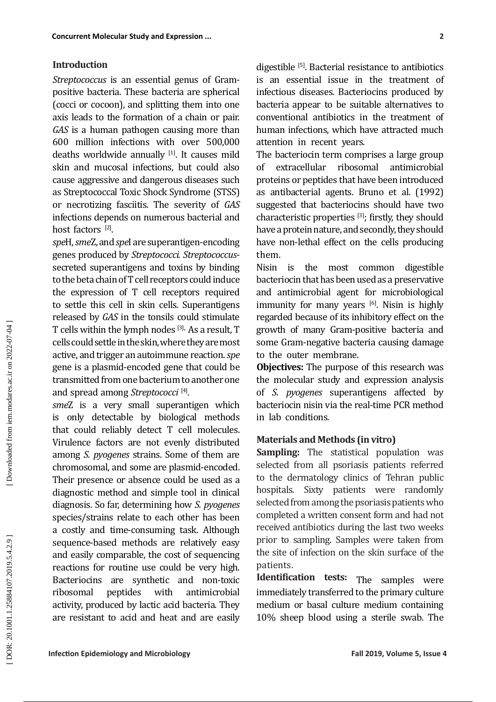## **Introduction**

*Streptococcus* is an essential genus of Grampositive bacteria. These bacteria are spherical (cocci or cocoon), and splitting them into one axis leads to the formation of a chain or pair. *GAS* is a human pathogen causing more than 600 million infections with over 500,000 deaths worldwide annually [1]. It causes mild skin and mucosal infections, but could also cause aggressive and dangerous diseases such as Streptococcal Toxic Shock Syndrome (STSS) or necrotizing fasciitis. The severity of *GAS* infections depends on numerous bacterial and host factors <sup>[2]</sup>.

*spe*H, *sme*Z, and *spe*I are superantigen-encoding genes produced by *Streptococci*. *Streptococcus* secreted superantigens and toxins by binding to the beta chain of T cell receptors could induce the expression of T cell receptors required to settle this cell in skin cells. Superantigens released by *GAS* in the tonsils could stimulate T cells within the lymph nodes [3]. As a result, T cells could settle in the skin, where they are most active, and trigger an autoimmune reaction. *spe* gene is a plasmid-encoded gene that could be transmitted from one bacterium to another one and spread among *Streptococci* [4] .

**Concurrent Motedus Study and Expression** of Growth and the study of the controllation of Symptowness is an essential genus of Growth is an essential steam the treatment of positive and the interaction of the backgrooth c *sme*Z is a very small superantigen which is only detectable by biological methods that could reliably detect T cell molecules. Virulence factors are not evenly distributed among *S. pyogenes* strains. Some of them are chromosomal, and some are plasmid-encoded. Their presence or absence could be used as a diagnostic method and simple tool in clinical diagnosis. So far, determining how *S. pyogenes* species/strains relate to each other has been a costly and time-consuming task. Although sequence-based methods are relatively easy and easily comparable, the cost of sequencing reactions for routine use could be very high. Bacteriocins are synthetic and non-toxic<br>ribosomal peptides with antimicrobial ribosomal peptides with antimicrobial activity, produced by lactic acid bacteria. They are resistant to acid and heat and are easily

digestible [5]. Bacterial resistance to antibiotics is an essential issue in the treatment of infectious diseases. Bacteriocins produced by bacteria appear to be suitable alternatives to conventional antibiotics in the treatment of human infections, which have attracted much attention in recent years .

The bacteriocin term comprises a large group of extracellular ribosomal antimicrobial proteins or peptides that have been introduced as antibacterial agents. Bruno et al. (1992) suggested that bacteriocins should have two characteristic properties [3]; firstly, they should have a protein nature, and secondly, they should have non-lethal effect on the cells producing them.

Nisin is the most common digestible bacteriocin that has been used as a preservative and antimicrobial agent for microbiological immunity for many years <sup>[6]</sup>. Nisin is highly regarded because of its inhibitory effect on the growth of many Gram-positive bacteria and some Gram-negative bacteria causing damage to the outer membrane.

**Objectives:** The purpose of this research was the molecular study and expression analysis of *S*. *pyogenes* superantigens affected by bacteriocin nisin via the real-time PCR method in lab conditions .

## **Materials and Methods (in vitro)**

**Sampling:** The statistical population was selected from all psoriasis patients referred to the dermatology clinics of Tehran public hospitals. Sixty patients were randomly selected from among the psoriasis patients who completed a written consent form and had not received antibiotics during the last two weeks prior to sampling. Samples were taken from the site of infection on the skin surface of the patients .

**Identification tests:** The samples were immediately transferred to the primary culture medium or basal culture medium containing 10% sheep blood using a sterile swab. The

DOR: 20.1001.1.25884107.2019.5.4.2.9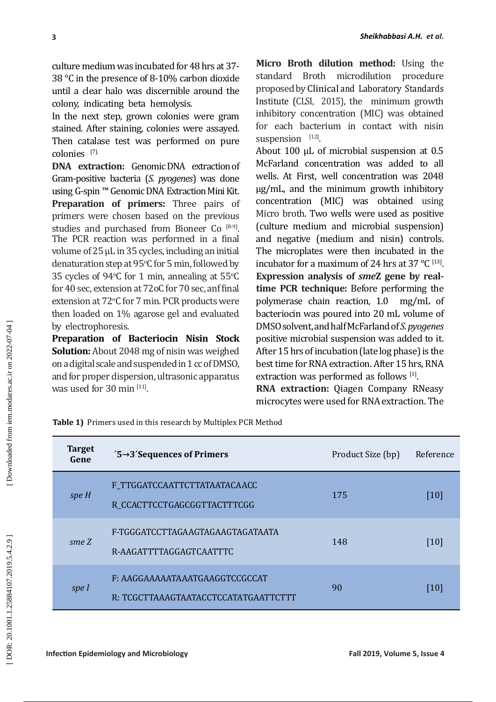| 3                                                                                                                                                                                                                                                                                                                                                                                                                                                                                                                                                                                                                                                                                                                                                                                                                                                                                                                                                                                                                                                                                                                                                                                                                                                                                            |                                                                         | Sheikhabbasi A.H. et al.                                                                                                                                                                                                                                                                                                                                                                                                                                                                                                                                                                                                                                                                                                                                                                                                                                                                                                                                                                                                                                                                                                                                                                                                                                                                                                                |           |
|----------------------------------------------------------------------------------------------------------------------------------------------------------------------------------------------------------------------------------------------------------------------------------------------------------------------------------------------------------------------------------------------------------------------------------------------------------------------------------------------------------------------------------------------------------------------------------------------------------------------------------------------------------------------------------------------------------------------------------------------------------------------------------------------------------------------------------------------------------------------------------------------------------------------------------------------------------------------------------------------------------------------------------------------------------------------------------------------------------------------------------------------------------------------------------------------------------------------------------------------------------------------------------------------|-------------------------------------------------------------------------|-----------------------------------------------------------------------------------------------------------------------------------------------------------------------------------------------------------------------------------------------------------------------------------------------------------------------------------------------------------------------------------------------------------------------------------------------------------------------------------------------------------------------------------------------------------------------------------------------------------------------------------------------------------------------------------------------------------------------------------------------------------------------------------------------------------------------------------------------------------------------------------------------------------------------------------------------------------------------------------------------------------------------------------------------------------------------------------------------------------------------------------------------------------------------------------------------------------------------------------------------------------------------------------------------------------------------------------------|-----------|
| culture medium was incubated for 48 hrs at 37-<br>38 °C in the presence of 8-10% carbon dioxide<br>until a clear halo was discernible around the<br>colony, indicating beta hemolysis.<br>In the next step, grown colonies were gram<br>stained. After staining, colonies were assayed.<br>Then catalase test was performed on pure<br>colonies [7]<br><b>DNA</b> extraction: Genomic DNA extraction of<br>Gram-positive bacteria (S. pyogenes) was done<br>using G-spin ™ Genomic DNA Extraction Mini Kit.<br>Preparation of primers: Three pairs of<br>primers were chosen based on the previous<br>studies and purchased from Bioneer Co <sup>[8-9]</sup> .<br>The PCR reaction was performed in a final<br>volume of 25 µL in 35 cycles, including an initial<br>denaturation step at 95°C for 5 min, followed by<br>35 cycles of 94°C for 1 min, annealing at 55°C<br>for 40 sec, extension at 72oC for 70 sec, anf final<br>extension at 72°C for 7 min. PCR products were<br>then loaded on 1% agarose gel and evaluated<br>by electrophoresis.<br>Preparation of Bacteriocin Nisin Stock<br><b>Solution:</b> About 2048 mg of nisin was weighed<br>on a digital scale and suspended in 1 cc of DMSO,<br>and for proper dispersion, ultrasonic apparatus<br>was used for 30 min [11]. |                                                                         | Micro Broth dilution method: Using the<br>microdilution<br><b>Broth</b><br>procedure<br>standard<br>proposed by Clinical and Laboratory Standards<br>Institute (CLSI, 2015), the minimum growth<br>inhibitory concentration (MIC) was obtained<br>for each bacterium in contact with nisin<br>suspension [12].<br>About 100 µL of microbial suspension at 0.5<br>McFarland concentration was added to all<br>wells. At First, well concentration was 2048<br>µg/mL, and the minimum growth inhibitory<br>concentration (MIC) was obtained using<br>Micro broth. Two wells were used as positive<br>(culture medium and microbial suspension)<br>and negative (medium and nisin) controls.<br>The microplates were then incubated in the<br>incubator for a maximum of 24 hrs at 37 °C [13].<br>Expression analysis of smeZ gene by real-<br>time PCR technique: Before performing the<br>polymerase chain reaction, 1.0<br>$mg/mL$ of<br>bacteriocin was poured into 20 mL volume of<br>DMSO solvent, and half McFarland of S. pyogenes<br>positive microbial suspension was added to it.<br>After 15 hrs of incubation (late log phase) is the<br>best time for RNA extraction. After 15 hrs, RNA<br>extraction was performed as follows [1].<br>RNA extraction: Qiagen Company RNeasy<br>microcytes were used for RNA extraction. The |           |
| Table 1) Primers used in this research by Multiplex PCR Method                                                                                                                                                                                                                                                                                                                                                                                                                                                                                                                                                                                                                                                                                                                                                                                                                                                                                                                                                                                                                                                                                                                                                                                                                               |                                                                         |                                                                                                                                                                                                                                                                                                                                                                                                                                                                                                                                                                                                                                                                                                                                                                                                                                                                                                                                                                                                                                                                                                                                                                                                                                                                                                                                         |           |
| <b>Target</b><br>Gene                                                                                                                                                                                                                                                                                                                                                                                                                                                                                                                                                                                                                                                                                                                                                                                                                                                                                                                                                                                                                                                                                                                                                                                                                                                                        | $5\rightarrow 3$ Sequences of Primers                                   | Product Size (bp)                                                                                                                                                                                                                                                                                                                                                                                                                                                                                                                                                                                                                                                                                                                                                                                                                                                                                                                                                                                                                                                                                                                                                                                                                                                                                                                       | Reference |
| spe H                                                                                                                                                                                                                                                                                                                                                                                                                                                                                                                                                                                                                                                                                                                                                                                                                                                                                                                                                                                                                                                                                                                                                                                                                                                                                        | F_TTGGATCCAATTCTTATAATACAACC<br>R_CCACTTCCTGAGCGGTTACTTTCGG             | 175                                                                                                                                                                                                                                                                                                                                                                                                                                                                                                                                                                                                                                                                                                                                                                                                                                                                                                                                                                                                                                                                                                                                                                                                                                                                                                                                     | $[10]$    |
| SmeZ                                                                                                                                                                                                                                                                                                                                                                                                                                                                                                                                                                                                                                                                                                                                                                                                                                                                                                                                                                                                                                                                                                                                                                                                                                                                                         | F-TGGGATCCTTAGAAGTAGAAGTAGATAATA<br>R-AAGATTTTAGGAGTCAATTTC             | 148                                                                                                                                                                                                                                                                                                                                                                                                                                                                                                                                                                                                                                                                                                                                                                                                                                                                                                                                                                                                                                                                                                                                                                                                                                                                                                                                     | [10]      |
| speI                                                                                                                                                                                                                                                                                                                                                                                                                                                                                                                                                                                                                                                                                                                                                                                                                                                                                                                                                                                                                                                                                                                                                                                                                                                                                         | F: AAGGAAAAAATAAATGAAGGTCCGCCAT<br>R: TCGCTTAAAGTAATACCTCCATATGAATTCTTT | 90                                                                                                                                                                                                                                                                                                                                                                                                                                                                                                                                                                                                                                                                                                                                                                                                                                                                                                                                                                                                                                                                                                                                                                                                                                                                                                                                      | [10]      |
| <b>Infection Epidemiology and Microbiology</b><br>Fall 2019, Volume 5, Issue 4                                                                                                                                                                                                                                                                                                                                                                                                                                                                                                                                                                                                                                                                                                                                                                                                                                                                                                                                                                                                                                                                                                                                                                                                               |                                                                         |                                                                                                                                                                                                                                                                                                                                                                                                                                                                                                                                                                                                                                                                                                                                                                                                                                                                                                                                                                                                                                                                                                                                                                                                                                                                                                                                         |           |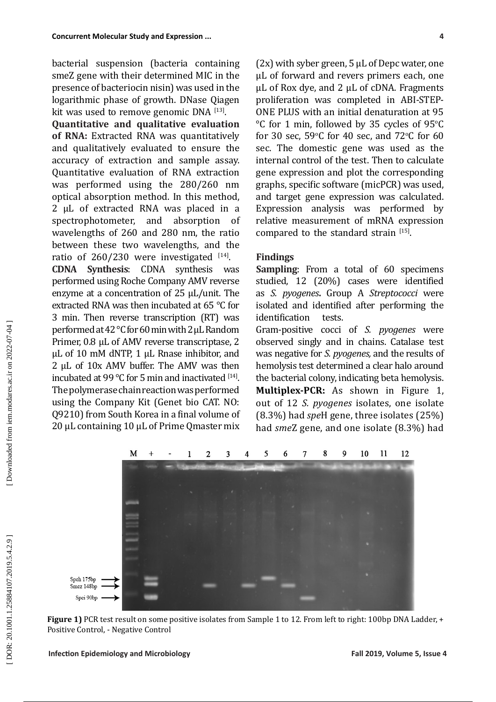bacterial suspension (bacteria containing smeZ gene with their determined MIC in the presence of bacteriocin nisin) was used in the logarithmic phase of growth. DNase Qiagen kit was used to remove genomic  $DNA$   $^{[13]}$ .

**Quantitative and qualitative evaluation of RNA:** Extracted RNA was quantitatively and qualitatively evaluated to ensure the accuracy of extraction and sample assay. Quantitative evaluation of RNA extraction was performed using the 280/260 nm optical absorption method. In this method, 2 µL of extracted RNA was placed in a spectrophotometer, and absorption of wavelengths of 260 and 280 nm, the ratio between these two wavelengths, and the ratio of  $260/230$  were investigated  $^{[14]}$ .

**CDNA Synthesis**: CDNA synthesis was performed using Roche Company AMV reverse enzyme at a concentration of 25 µL/unit. The extracted RNA was then incubated at 65 °C for 3 min. Then reverse transcription (RT) was performed at 42 °C for 60 min with 2 µL Random Primer, 0.8 µL of AMV reverse transcriptase, 2 µL of 10 mM dNTP, 1 µL Rnase inhibitor, and 2 µL of 10x AMV buffer. The AMV was then incubated at 99 °C for 5 min and inactivated  $[14]$ . The polymerase chain reaction was performed using the Company Kit (Genet bio CAT. NO: Q9210) from South Korea in a final volume of 20 μL containing 10 µL of Prime Qmaster mix  $(2x)$  with syber green, 5  $\mu$ L of Depc water, one µL of forward and revers primers each, one µL of Rox dye, and 2 µL of cDNA. Fragments proliferation was completed in ABI-STEP-ONE PLUS with an initial denaturation at 95  $\rm ^{\circ}C$  for 1 min, followed by 35 cycles of 95 $\rm ^{\circ}C$ for 30 sec,  $59^{\circ}$ C for 40 sec, and  $72^{\circ}$ C for 60 sec. The domestic gene was used as the internal control of the test. Then to calculate gene expression and plot the corresponding graphs, specific software (micPCR) was used, and target gene expression was calculated. Expression analysis was performed by relative measurement of mRNA expression compared to the standard strain  $[15]$ .

# **Findings**

**Sampling**: From a total of 60 specimens studied, 12 (20%) cases were identified as *S. pyogenes***.** Group A *Streptococci* were isolated and identified after performing the identification tests.

Gram-positive cocci of *S. pyogenes* were observed singly and in chains. Catalase test was negative for *S. pyogenes,* and the results of the bacterial colony, indicating beta hemolysis. **Multiplex-PCR:** As shown in Figure 1, out of 12 *S. pyogenes* isolates, one isolate (8.3%) had *spe*H gene, three isolates (25%) had *sme*Z gene, and one isolate (8.3%) had



**Figure 1)** PCR test result on some positive isolates from Sample 1 to 12. From left to right: 100bp DNA Ladder, + Positive Control, - Negative Control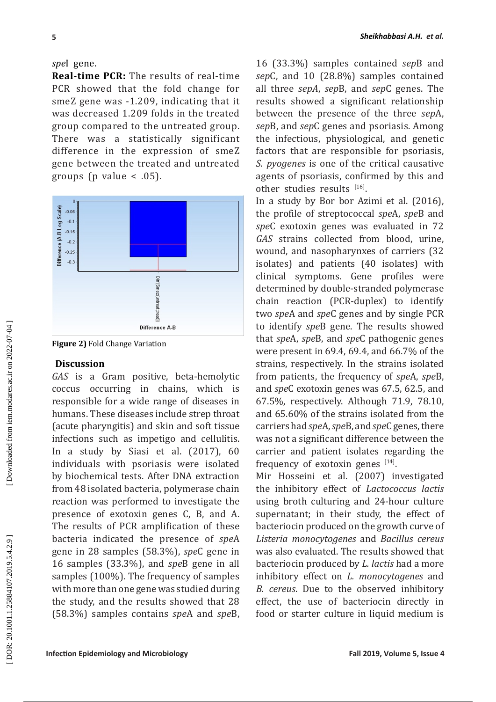**Real-time PCR:** The results of real-time PCR showed that the fold change for smeZ gene was -1.209, indicating that it was decreased 1.209 folds in the treated group compared to the untreated group. There was a statistically significant difference in the expression of smeZ gene between the treated and untreated groups (p value < .05).



**Figure 2)** Fold Change Variation

## **Discussion**

*GAS* is a Gram positive, beta-hemolytic coccus occurring in chains, which is responsible for a wide range of diseases in humans. These diseases include strep throat (acute pharyngitis) and skin and soft tissue infections such as impetigo and cellulitis. In a study by Siasi et al. (2017), 60 individuals with psoriasis were isolated by biochemical tests. After DNA extraction from 48 isolated bacteria, polymerase chain reaction was performed to investigate the presence of exotoxin genes C, B, and A. The results of PCR amplification of these bacteria indicated the presence of *spe*A gene in 28 samples (58.3%), *spe*C gene in 16 samples (33.3%), and *spe*B gene in all samples (100%). The frequency of samples with more than one gene was studied during the study, and the results showed that 28 (58.3%) samples contains *spe*A and *spe*B,

16 (33.3%) samples contained *sep*B and *sep*C, and 10 (28.8%) samples contained all three *sepA*, *sep*B, and *sep*C genes. The results showed a significant relationship between the presence of the three *sep*A, *sep*B, and *sep*C genes and psoriasis. Among the infectious, physiological, and genetic factors that are responsible for psoriasis, *S. pyogenes* is one of the critical causative agents of psoriasis, confirmed by this and other studies results  $[16]$ .

**SPACE ASSES AND THE SPACE THE PROTECT IS CONSULTED THE SPACE SHOWER STATE AND SPACE AND SPACE AND SPACE AND SPACE AND SPACE AND SPACE AND SPACE AND SPACE AND SPACE AND SPACE AND SPACE AND SPACE AND SPACE AND SPACE AND SPA** In a study by Bor bor Azimi et al. (2016), the profile of streptococcal *spe*A, *spe*B and *spe*C exotoxin genes was evaluated in 72 *GAS* strains collected from blood, urine, wound, and nasopharynxes of carriers (32 isolates) and patients (40 isolates) with clinical symptoms. Gene profiles were determined by double-stranded polymerase chain reaction (PCR-duplex) to identify two *spe*A and *spe*C genes and by single PCR to identify *spe*B gene. The results showed that *spe*A, *spe*B, and *spe*C pathogenic genes were present in 69.4, 69.4, and 66.7% of the strains, respectively. In the strains isolated from patients, the frequency of *spe*A, *spe*B, and *spe*C exotoxin genes was 67.5, 62.5, and 67.5%, respectively. Although 71.9, 78.10, and 65.60% of the strains isolated from the carriers had *spe*A, *spe*B, and *spe*C genes, there was not a significant difference between the carrier and patient isolates regarding the frequency of exotoxin genes  $[14]$ .

Mir Hosseini et al. (2007) investigated the inhibitory effect of *Lactococcus lactis* using broth culturing and 24-hour culture supernatant; in their study, the effect of bacteriocin produced on the growth curve of *Listeria monocytogenes* and *Bacillus cereus* was also evaluated. The results showed that bacteriocin produced by *L. lactis* had a more inhibitory effect on *L. monocytogenes* and *B. cereus*. Due to the observed inhibitory effect, the use of bacteriocin directly in food or starter culture in liquid medium is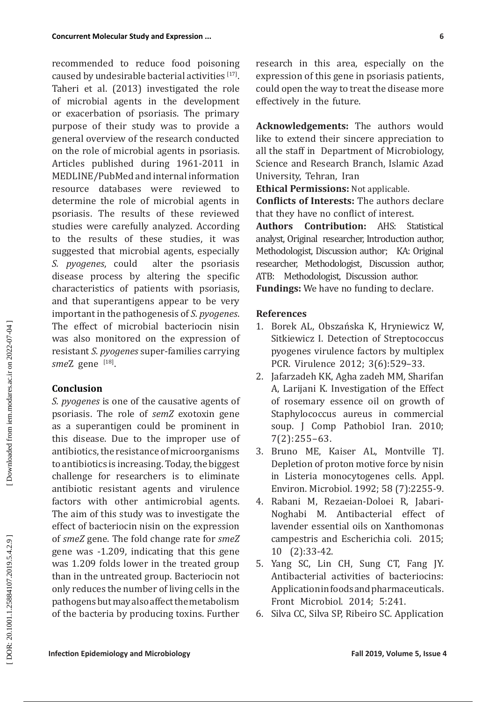**Contained Study and Contension ... I** considerate the collispical controllation in reduction (and in the study of the growing technical controllation in reduction in the development of fiction of the volume study of th recommended to reduce food poisoning caused by undesirable bacterial activities  $[17]$ . Taheri et al. (2013) investigated the role of microbial agents in the development or exacerbation of psoriasis. The primary purpose of their study was to provide a general overview of the research conducted on the role of microbial agents in psoriasis. Articles published during 1961-2011 in MEDLINE/PubMed and internal information resource databases were reviewed to determine the role of microbial agents in psoriasis. The results of these reviewed studies were carefully analyzed. According to the results of these studies, it was suggested that microbial agents, especially<br>S. *pyogenes*, could alter the psoriasis alter the psoriasis disease process by altering the specific characteristics of patients with psoriasis, and that superantigens appear to be very important in the pathogenesis of *S. pyogenes*. The effect of microbial bacteriocin nisin was also monitored on the expression of resistant *S. pyogenes* super-families carrying *sme*Z gene [18] .

# **Conclusion**

*S. pyogenes* is one of the causative agents of psoriasis. The role of *semZ* exotoxin gene as a superantigen could be prominent in this disease. Due to the improper use of antibiotics, the resistance of microorganisms to antibiotics is increasing. Today, the biggest challenge for researchers is to eliminate antibiotic resistant agents and virulence factors with other antimicrobial agents. The aim of this study was to investigate the effect of bacteriocin nisin on the expression of *smeZ* gene. The fold change rate for *smeZ* gene was -1.209, indicating that this gene was 1.209 folds lower in the treated group than in the untreated group. Bacteriocin not only reduces the number of living cells in the pathogens but may also affect the metabolism of the bacteria by producing toxins. Further research in this area, especially on the expression of this gene in psoriasis patients, could open the way to treat the disease more effectively in the future.

**Acknowledgements:** The authors would like to extend their sincere appreciation to all the staff in Department of Microbiology, Science and Research Branch, Islamic Azad University, Tehran, Iran

**Ethical Permissions:** Not applicable.

**Conflicts of Interests:** The authors declare that they have no conflict of interest.<br>**Authors Contribution:** AHS: St

**Contribution:** AHS: Statistical analyst, Original researcher, Introduction author, Methodologist, Discussion author; KA: Original researcher, Methodologist, Discussion author, ATB: Methodologist, Discussion author. **Fundings:** We have no funding to declare.

# **References**

- 1. Borek AL, Obszańska K, Hryniewicz W, Sitkiewicz I. Detection of Streptococcus pyogenes virulence factors by multiplex PCR. Virulence 2012; 3(6):529–33.
- 2. Jafarzadeh KK, Agha zadeh MM, Sharifan A, Larijani K. Investigation of the Effect of rosemary essence oil on growth of Staphylococcus aureus in commercial soup. J Comp Pathobiol Iran. 2010; 7(2):255–63.
- 3. Bruno ME, Kaiser AL, Montville TJ. Depletion of proton motive force by nisin in Listeria monocytogenes cells. Appl. Environ. Microbiol. 1992; 58 (7):2255-9.
- 4. Rabani M, Rezaeian-Doloei R, Jabari-Noghabi M. Antibacterial effect of lavender essential oils on Xanthomonas campestris and Escherichia coli. 2015; 10 (2):33-42.
- 5. Yang SC, Lin CH, Sung CT, Fang JY. Antibacterial activities of bacteriocins: Application in foods and pharmaceuticals. Front Microbiol. 2014; 5:241.
- 6. Silva CC, Silva SP, Ribeiro SC. Application